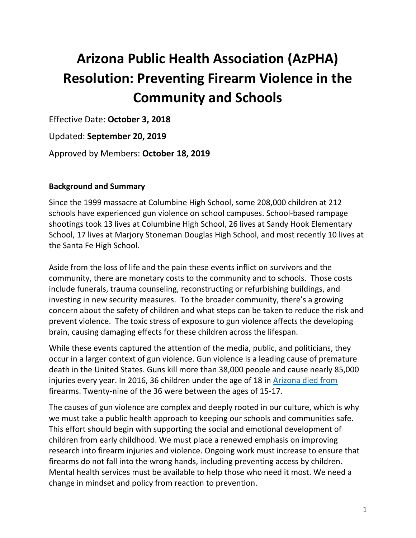# **Arizona Public Health Association (AzPHA) Resolution: Preventing Firearm Violence in the Community and Schools**

Effective Date: **October 3, 2018**

Updated: **September 20, 2019**

Approved by Members: **October 18, 2019**

### **Background and Summary**

Since the 1999 massacre at Columbine High School, some 208,000 children at 212 schools have experienced gun violence on school campuses. School-based rampage shootings took 13 lives at Columbine High School, 26 lives at Sandy Hook Elementary School, 17 lives at Marjory Stoneman Douglas High School, and most recently 10 lives at the Santa Fe High School.

Aside from the loss of life and the pain these events inflict on survivors and the community, there are monetary costs to the community and to schools. Those costs include funerals, trauma counseling, reconstructing or refurbishing buildings, and investing in new security measures. To the broader community, there's a growing concern about the safety of children and what steps can be taken to reduce the risk and prevent violence. The toxic stress of exposure to gun violence affects the developing brain, causing damaging effects for these children across the lifespan.

While these events captured the attention of the media, public, and politicians, they occur in a larger context of gun violence. Gun violence is a leading cause of premature death in the United States. Guns kill more than 38,000 people and cause nearly 85,000 injuries every year. In 2016, 36 children under the age of 18 in [Arizona died from](https://www.azdhs.gov/documents/prevention/womens-childrens-health/reports-fact-sheets/child-fatality-review-annual-reports/cfr-annual-report-2017.pdf) firearms. Twenty-nine of the 36 were between the ages of 15-17.

The causes of gun violence are complex and deeply rooted in our culture, which is why we must take a public health approach to keeping our schools and communities safe. This effort should begin with supporting the social and emotional development of children from early childhood. We must place a renewed emphasis on improving research into firearm injuries and violence. Ongoing work must increase to ensure that firearms do not fall into the wrong hands, including preventing access by children. Mental health services must be available to help those who need it most. We need a change in mindset and policy from reaction to prevention.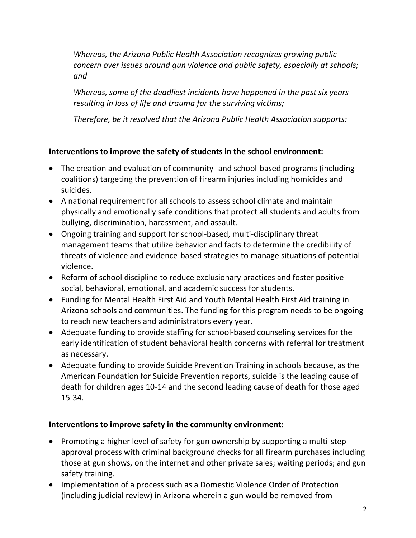*Whereas, the Arizona Public Health Association recognizes growing public concern over issues around gun violence and public safety, especially at schools; and*

*Whereas, some of the deadliest incidents have happened in the past six years resulting in loss of life and trauma for the surviving victims;* 

*Therefore, be it resolved that the Arizona Public Health Association supports:*

## **Interventions to improve the safety of students in the school environment:**

- The creation and evaluation of community- and school-based programs (including coalitions) targeting the prevention of firearm injuries including homicides and suicides.
- A national requirement for all schools to assess school climate and maintain physically and emotionally safe conditions that protect all students and adults from bullying, discrimination, harassment, and assault.
- Ongoing training and support for school-based, multi-disciplinary threat management teams that utilize behavior and facts to determine the credibility of threats of violence and evidence-based strategies to manage situations of potential violence.
- Reform of school discipline to reduce exclusionary practices and foster positive social, behavioral, emotional, and academic success for students.
- Funding for Mental Health First Aid and Youth Mental Health First Aid training in Arizona schools and communities. The funding for this program needs to be ongoing to reach new teachers and administrators every year.
- Adequate funding to provide staffing for school-based counseling services for the early identification of student behavioral health concerns with referral for treatment as necessary.
- Adequate funding to provide Suicide Prevention Training in schools because, as the American Foundation for Suicide Prevention reports, suicide is the leading cause of death for children ages 10-14 and the second leading cause of death for those aged 15-34.

## **Interventions to improve safety in the community environment:**

- Promoting a higher level of safety for gun ownership by supporting a multi-step approval process with criminal background checks for all firearm purchases including those at gun shows, on the internet and other private sales; waiting periods; and gun safety training.
- Implementation of a process such as a Domestic Violence Order of Protection (including judicial review) in Arizona wherein a gun would be removed from